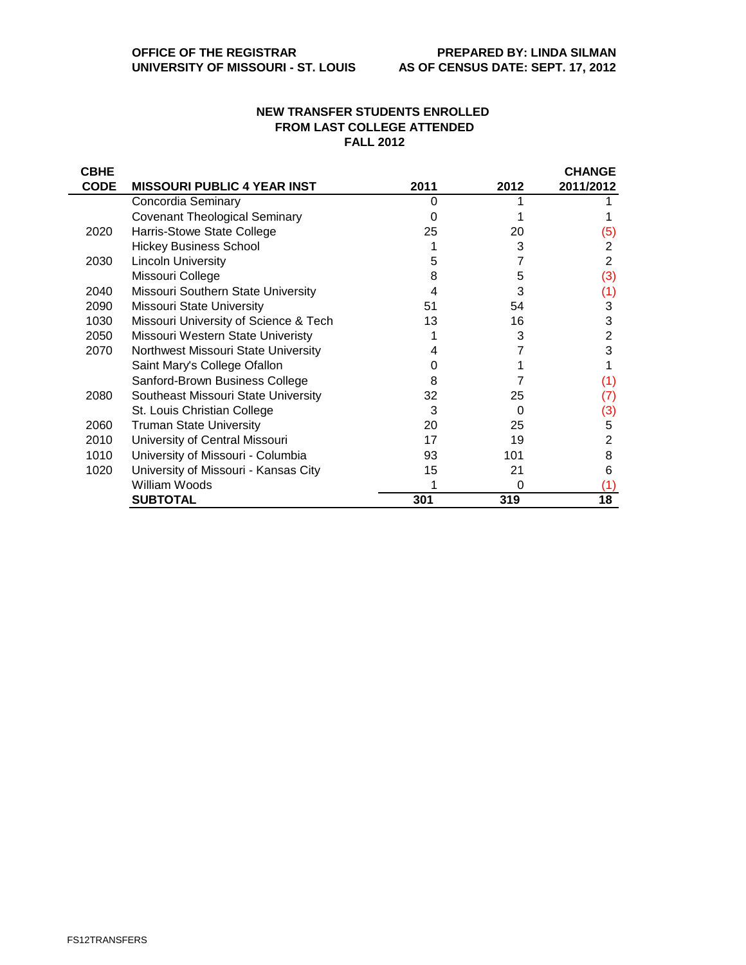## **NEW TRANSFER STUDENTS ENROLLED FROM LAST COLLEGE ATTENDED FALL 2012**

| <b>CBHE</b> |                                       |      |      | <b>CHANGE</b> |
|-------------|---------------------------------------|------|------|---------------|
| <b>CODE</b> | <b>MISSOURI PUBLIC 4 YEAR INST</b>    | 2011 | 2012 | 2011/2012     |
|             | Concordia Seminary                    | O    |      |               |
|             | <b>Covenant Theological Seminary</b>  |      |      |               |
| 2020        | Harris-Stowe State College            | 25   | 20   | (5)           |
|             | <b>Hickey Business School</b>         |      | 3    | 2             |
| 2030        | <b>Lincoln University</b>             | 5    |      | 2             |
|             | Missouri College                      | 8    | 5    | (3)           |
| 2040        | Missouri Southern State University    | 4    | 3    | (1)           |
| 2090        | <b>Missouri State University</b>      | 51   | 54   | 3             |
| 1030        | Missouri University of Science & Tech | 13   | 16   | 3             |
| 2050        | Missouri Western State Univeristy     |      | 3    | 2             |
| 2070        | Northwest Missouri State University   |      |      | 3             |
|             | Saint Mary's College Ofallon          |      |      |               |
|             | Sanford-Brown Business College        | 8    |      | (1)           |
| 2080        | Southeast Missouri State University   | 32   | 25   | (7)           |
|             | St. Louis Christian College           | 3    | 0    | (3)           |
| 2060        | <b>Truman State University</b>        | 20   | 25   | 5             |
| 2010        | University of Central Missouri        | 17   | 19   | 2             |
| 1010        | University of Missouri - Columbia     | 93   | 101  | 8             |
| 1020        | University of Missouri - Kansas City  | 15   | 21   | 6             |
|             | William Woods                         |      | 0    | (1)           |
|             | <b>SUBTOTAL</b>                       | 301  | 319  | 18            |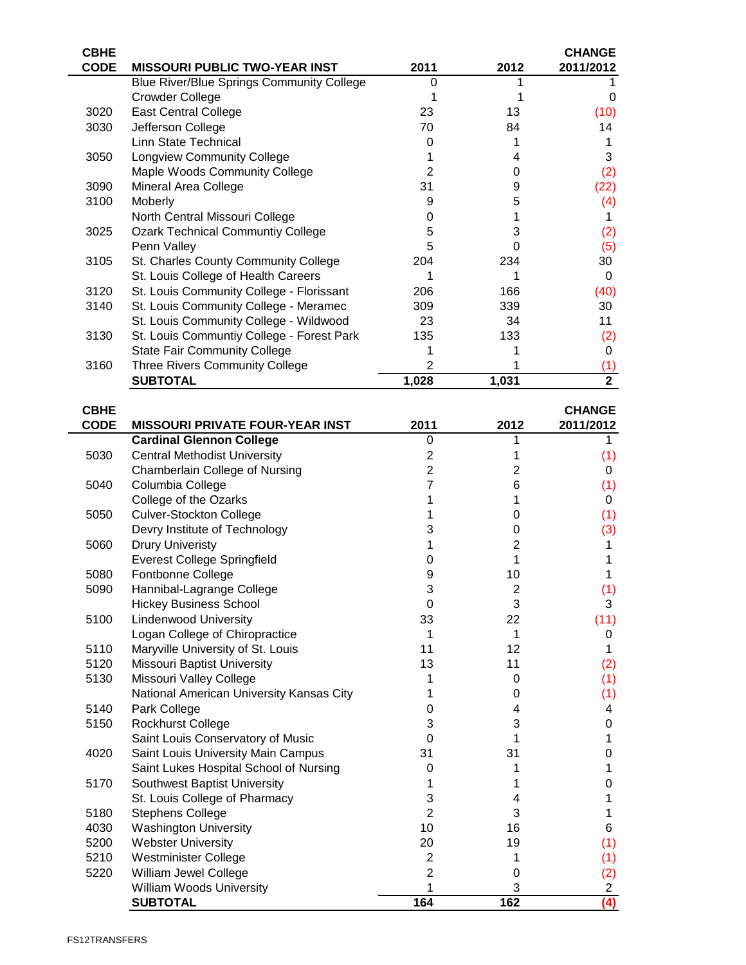| <b>CBHE</b> |                                                  |                |                | <b>CHANGE</b>  |
|-------------|--------------------------------------------------|----------------|----------------|----------------|
| <b>CODE</b> | <b>MISSOURI PUBLIC TWO-YEAR INST</b>             | 2011           | 2012           | 2011/2012      |
|             | <b>Blue River/Blue Springs Community College</b> | 0              | 1              | 1.             |
|             | Crowder College                                  | 1              | 1              | 0              |
|             |                                                  |                |                |                |
| 3020        | <b>East Central College</b>                      | 23             | 13             | (10)           |
| 3030        | Jefferson College                                | 70             | 84             | 14             |
|             | <b>Linn State Technical</b>                      | 0              | 1              | 1              |
| 3050        | <b>Longview Community College</b>                | 1              | 4              | 3              |
|             | Maple Woods Community College                    | $\overline{2}$ | 0              | (2)            |
| 3090        | Mineral Area College                             | 31             | 9              | (22)           |
| 3100        | Moberly                                          | 9              | 5              | (4)            |
|             | North Central Missouri College                   | 0              | 1              | 1.             |
|             |                                                  |                |                |                |
| 3025        | <b>Ozark Technical Communtiy College</b>         | 5              | 3              | (2)            |
|             | Penn Valley                                      | 5              | 0              | (5)            |
| 3105        | St. Charles County Community College             | 204            | 234            | 30             |
|             | St. Louis College of Health Careers              | 1              | 1              | $\mathbf 0$    |
| 3120        | St. Louis Community College - Florissant         | 206            | 166            | (40)           |
| 3140        | St. Louis Community College - Meramec            | 309            | 339            | 30             |
|             | St. Louis Community College - Wildwood           | 23             | 34             | 11             |
| 3130        | St. Louis Communtiy College - Forest Park        | 135            | 133            |                |
|             |                                                  |                |                | (2)            |
|             | <b>State Fair Community College</b>              | 1              | 1              | $\mathbf 0$    |
| 3160        | Three Rivers Community College                   | $\overline{2}$ | 1              | (1)            |
|             | <b>SUBTOTAL</b>                                  | 1,028          | 1,031          | $\overline{2}$ |
|             |                                                  |                |                |                |
| <b>CBHE</b> |                                                  |                |                | <b>CHANGE</b>  |
| <b>CODE</b> | <b>MISSOURI PRIVATE FOUR-YEAR INST</b>           | 2011           | 2012           | 2011/2012      |
|             | <b>Cardinal Glennon College</b>                  | 0              | 1              | 1.             |
| 5030        |                                                  |                |                |                |
|             | <b>Central Methodist University</b>              | $\mathbf{2}$   | 1              | (1)            |
|             | Chamberlain College of Nursing                   | $\overline{2}$ | 2              | 0              |
| 5040        | Columbia College                                 | 7              | 6              | (1)            |
|             | College of the Ozarks                            | 1              | 1              | 0              |
| 5050        | <b>Culver-Stockton College</b>                   | 1              | 0              | (1)            |
|             | Devry Institute of Technology                    | 3              | 0              | (3)            |
| 5060        | <b>Drury Univeristy</b>                          | 1              | $\overline{c}$ | 1              |
|             | <b>Everest College Springfield</b>               | 0              | 1              | 1              |
| 5080        | Fontbonne College                                | 9              | 10             | 1              |
|             |                                                  | 3              |                |                |
| 5090        | Hannibal-Lagrange College                        |                | 2              | (1)            |
|             | <b>Hickey Business School</b>                    | 0              | 3              | 3              |
| 5100        | <b>Lindenwood University</b>                     | 33             | 22             | (11)           |
|             | Logan College of Chiropractice                   | 1              | 1              | 0              |
| 5110        | Maryville University of St. Louis                | 11             | 12             | 1              |
| 5120        | <b>Missouri Baptist University</b>               | 13             | 11             | (2)            |
| 5130        | Missouri Valley College                          | 1              | 0              | (1)            |
|             | National American University Kansas City         | 1              | 0              | (1)            |
| 5140        | Park College                                     | 0              | 4              | 4              |
|             |                                                  |                |                |                |
| 5150        | <b>Rockhurst College</b>                         | 3              | 3              | 0              |
|             | Saint Louis Conservatory of Music                | 0              | 1              | 1              |
| 4020        | Saint Louis University Main Campus               | 31             | 31             | 0              |
|             | Saint Lukes Hospital School of Nursing           | 0              | 1              | 1              |
| 5170        | Southwest Baptist University                     | 1              | 1              | 0              |
|             | St. Louis College of Pharmacy                    | 3              | 4              | 1              |
| 5180        | <b>Stephens College</b>                          | $\overline{2}$ | 3              | 1              |
| 4030        | <b>Washington University</b>                     | 10             | 16             | 6              |
|             |                                                  |                |                |                |
| 5200        | <b>Webster University</b>                        | 20             | 19             | (1)            |
| 5210        | Westminister College                             | $\overline{c}$ | 1              | (1)            |
| 5220        | William Jewel College                            | $\overline{2}$ | 0              | (2)            |
|             | William Woods University                         | 1              | 3              | $\overline{a}$ |
|             | <b>SUBTOTAL</b>                                  | 164            | 162            | (4)            |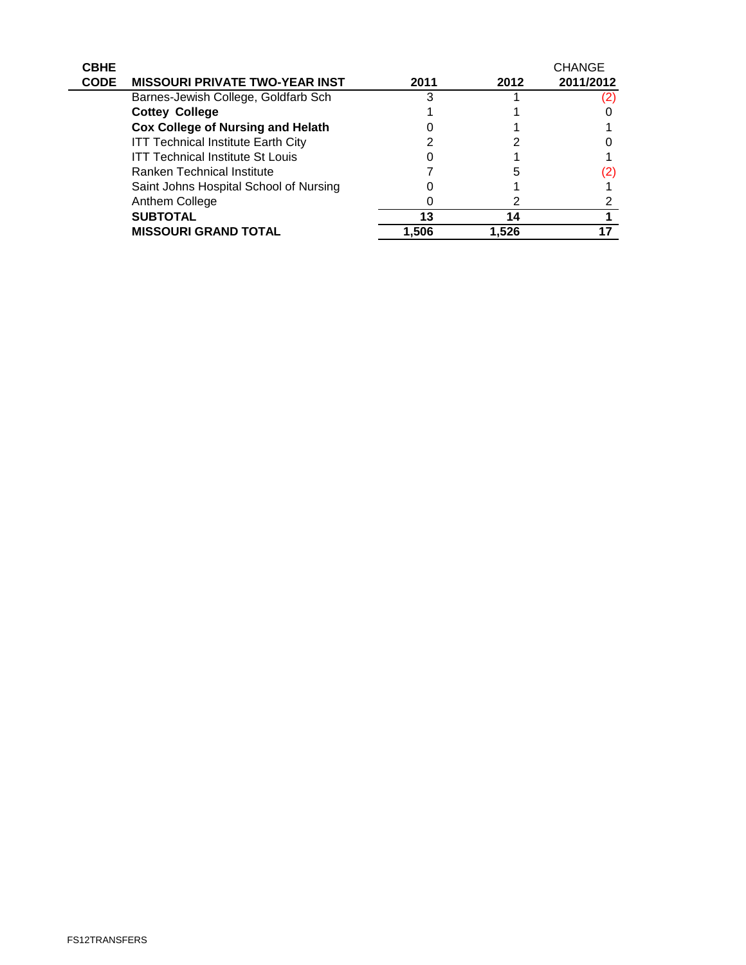| <b>CBHE</b><br><b>CODE</b> | <b>MISSOURI PRIVATE TWO-YEAR INST</b>     | 2011  | 2012  | <b>CHANGE</b><br>2011/2012 |
|----------------------------|-------------------------------------------|-------|-------|----------------------------|
|                            | Barnes-Jewish College, Goldfarb Sch       |       |       | <u>(2)</u>                 |
|                            | <b>Cottey College</b>                     |       |       |                            |
|                            | <b>Cox College of Nursing and Helath</b>  |       |       |                            |
|                            | <b>ITT Technical Institute Earth City</b> |       |       |                            |
|                            | <b>ITT Technical Institute St Louis</b>   |       |       |                            |
|                            | <b>Ranken Technical Institute</b>         |       |       | 2)                         |
|                            | Saint Johns Hospital School of Nursing    |       |       |                            |
|                            | Anthem College                            |       |       |                            |
|                            | <b>SUBTOTAL</b>                           | 13    | 14    |                            |
|                            | <b>MISSOURI GRAND TOTAL</b>               | 1,506 | 1.526 |                            |